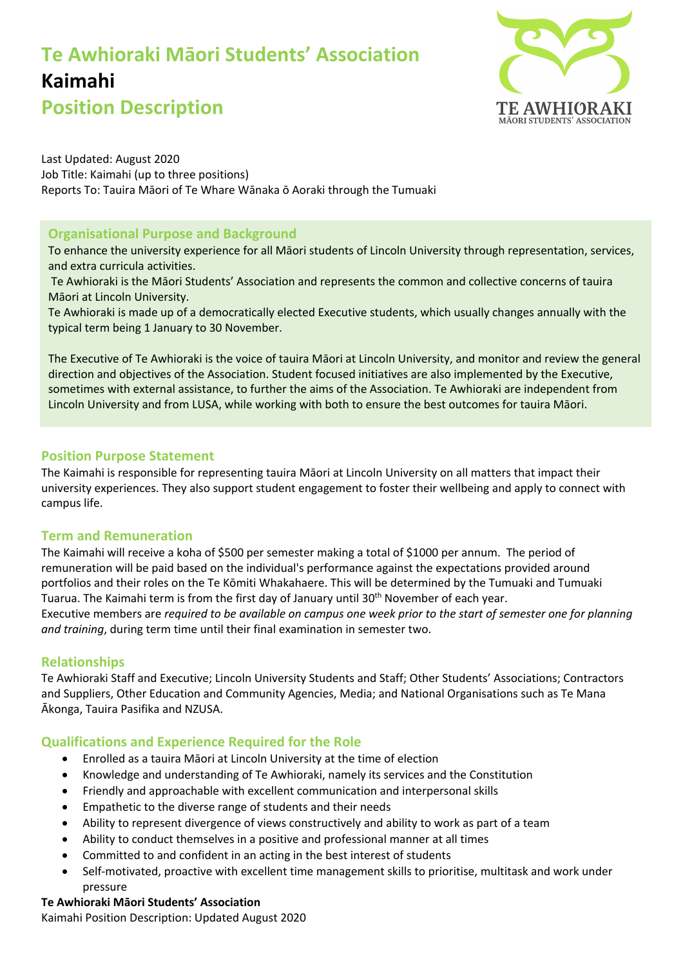# **Te Awhioraki Māori Students' Association Kaimahi**



**Position Description**

Last Updated: August 2020 Job Title: Kaimahi (up to three positions) Reports To: Tauira Māori of Te Whare Wānaka ō Aoraki through the Tumuaki

# **Organisational Purpose and Background**

To enhance the university experience for all Māori students of Lincoln University through representation, services, and extra curricula activities.

Te Awhioraki is the Māori Students' Association and represents the common and collective concerns of tauira Māori at Lincoln University.

Te Awhioraki is made up of a democratically elected Executive students, which usually changes annually with the typical term being 1 January to 30 November.

The Executive of Te Awhioraki is the voice of tauira Māori at Lincoln University, and monitor and review the general direction and objectives of the Association. Student focused initiatives are also implemented by the Executive, sometimes with external assistance, to further the aims of the Association. Te Awhioraki are independent from Lincoln University and from LUSA, while working with both to ensure the best outcomes for tauira Māori.

# **Position Purpose Statement**

The Kaimahi is responsible for representing tauira Māori at Lincoln University on all matters that impact their university experiences. They also support student engagement to foster their wellbeing and apply to connect with campus life.

## **Term and Remuneration**

The Kaimahi will receive a koha of \$500 per semester making a total of \$1000 per annum. The period of remuneration will be paid based on the individual's performance against the expectations provided around portfolios and their roles on the Te Kōmiti Whakahaere. This will be determined by the Tumuaki and Tumuaki Tuarua. The Kaimahi term is from the first day of January until  $30<sup>th</sup>$  November of each year. Executive members are *required to be available on campus one week prior to the start of semester one for planning and training*, during term time until their final examination in semester two.

## **Relationships**

Te Awhioraki Staff and Executive; Lincoln University Students and Staff; Other Students' Associations; Contractors and Suppliers, Other Education and Community Agencies, Media; and National Organisations such as Te Mana Ākonga, Tauira Pasifika and NZUSA.

## **Qualifications and Experience Required for the Role**

- Enrolled as a tauira Māori at Lincoln University at the time of election
- Knowledge and understanding of Te Awhioraki, namely its services and the Constitution
- Friendly and approachable with excellent communication and interpersonal skills
- Empathetic to the diverse range of students and their needs
- Ability to represent divergence of views constructively and ability to work as part of a team
- Ability to conduct themselves in a positive and professional manner at all times
- Committed to and confident in an acting in the best interest of students
- Self-motivated, proactive with excellent time management skills to prioritise, multitask and work under pressure

#### **Te Awhioraki Māori Students' Association**

Kaimahi Position Description: Updated August 2020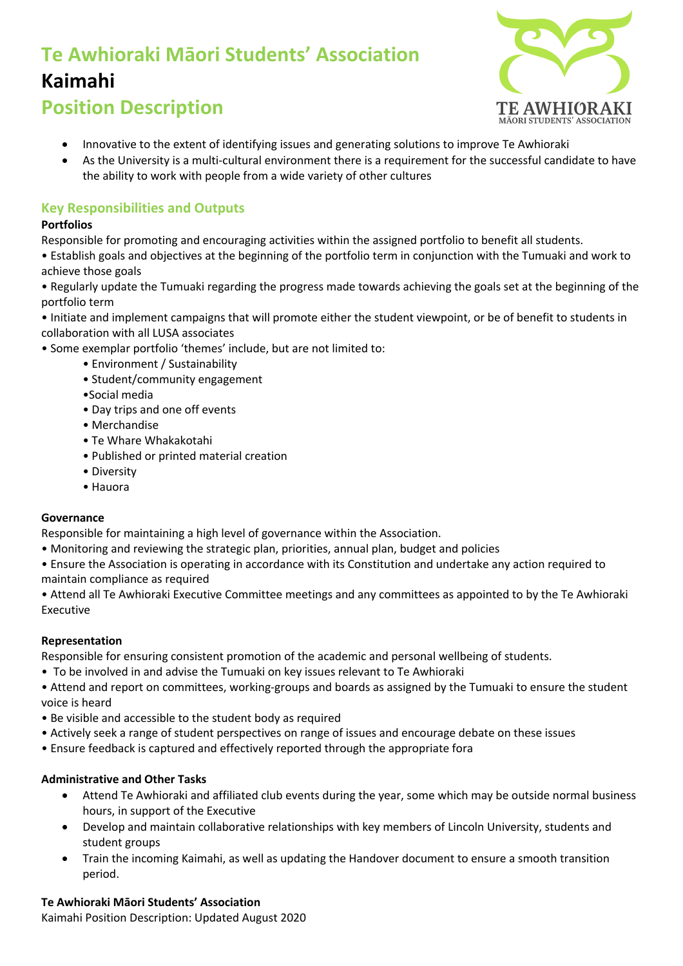# **Te Awhioraki Māori Students' Association Kaimahi**



# **Position Description**

- Innovative to the extent of identifying issues and generating solutions to improve Te Awhioraki
- As the University is a multi-cultural environment there is a requirement for the successful candidate to have the ability to work with people from a wide variety of other cultures

# **Key Responsibilities and Outputs**

## **Portfolios**

Responsible for promoting and encouraging activities within the assigned portfolio to benefit all students.

• Establish goals and objectives at the beginning of the portfolio term in conjunction with the Tumuaki and work to achieve those goals

• Regularly update the Tumuaki regarding the progress made towards achieving the goals set at the beginning of the portfolio term

• Initiate and implement campaigns that will promote either the student viewpoint, or be of benefit to students in collaboration with all LUSA associates

- Some exemplar portfolio 'themes' include, but are not limited to:
	- Environment / Sustainability
	- Student/community engagement
	- •Social media
	- Day trips and one off events
	- Merchandise
	- Te Whare Whakakotahi
	- Published or printed material creation
	- Diversity
	- Hauora

#### **Governance**

Responsible for maintaining a high level of governance within the Association.

- Monitoring and reviewing the strategic plan, priorities, annual plan, budget and policies
- Ensure the Association is operating in accordance with its Constitution and undertake any action required to maintain compliance as required

• Attend all Te Awhioraki Executive Committee meetings and any committees as appointed to by the Te Awhioraki Executive

## **Representation**

Responsible for ensuring consistent promotion of the academic and personal wellbeing of students.

- To be involved in and advise the Tumuaki on key issues relevant to Te Awhioraki
- Attend and report on committees, working-groups and boards as assigned by the Tumuaki to ensure the student voice is heard
- Be visible and accessible to the student body as required
- Actively seek a range of student perspectives on range of issues and encourage debate on these issues
- Ensure feedback is captured and effectively reported through the appropriate fora

## **Administrative and Other Tasks**

- Attend Te Awhioraki and affiliated club events during the year, some which may be outside normal business hours, in support of the Executive
- Develop and maintain collaborative relationships with key members of Lincoln University, students and student groups
- Train the incoming Kaimahi, as well as updating the Handover document to ensure a smooth transition period.

## **Te Awhioraki Māori Students' Association**

Kaimahi Position Description: Updated August 2020